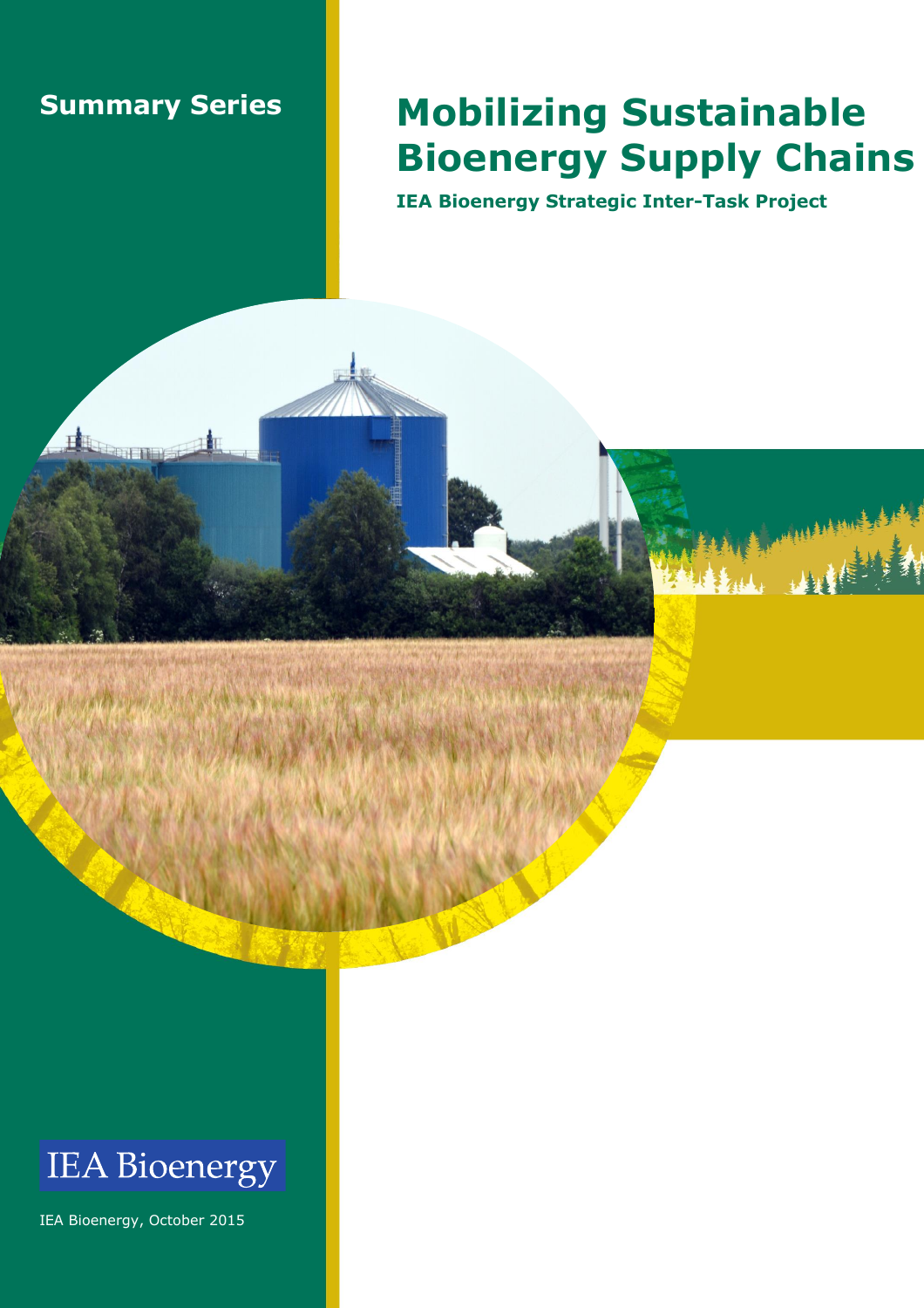## **Summary Series**

日

Tempera

## **Mobilizing Sustainable Bioenergy Supply Chains**

**IEA Bioenergy Strategic Inter-Task Project**



IEA Bioenergy, October 2015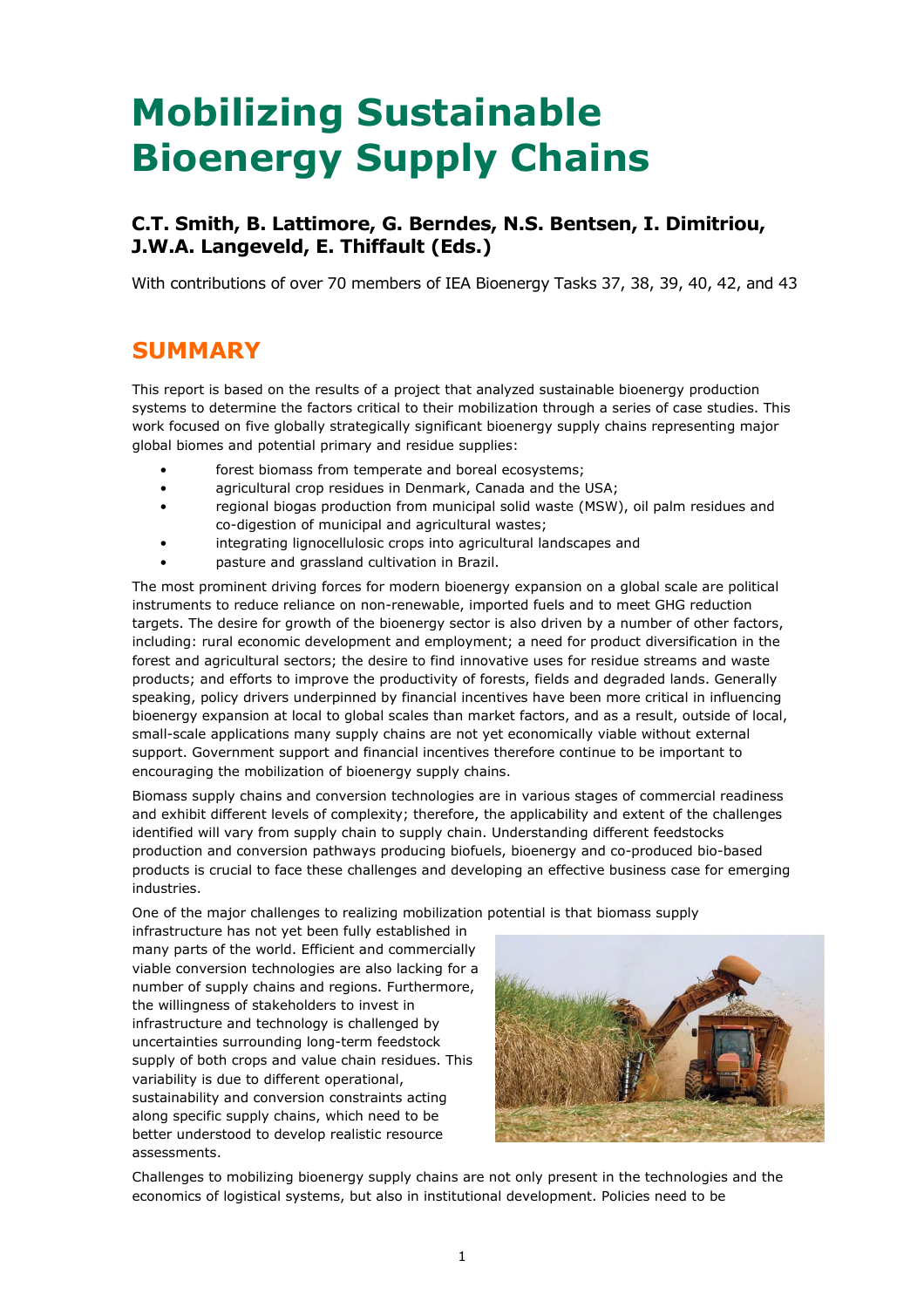# **Mobilizing Sustainable Bioenergy Supply Chains**

### **C.T. Smith, B. Lattimore, G. Berndes, N.S. Bentsen, I. Dimitriou, J.W.A. Langeveld, E. Thiffault (Eds.)**

With contributions of over 70 members of IEA Bioenergy Tasks 37, 38, 39, 40, 42, and 43

## **SUMMARY**

This report is based on the results of a project that analyzed sustainable bioenergy production systems to determine the factors critical to their mobilization through a series of case studies. This work focused on five globally strategically significant bioenergy supply chains representing major global biomes and potential primary and residue supplies:

- forest biomass from temperate and boreal ecosystems;
- agricultural crop residues in Denmark, Canada and the USA;
- regional biogas production from municipal solid waste (MSW), oil palm residues and co-digestion of municipal and agricultural wastes;
- integrating lignocellulosic crops into agricultural landscapes and
- pasture and grassland cultivation in Brazil.

The most prominent driving forces for modern bioenergy expansion on a global scale are political instruments to reduce reliance on non-renewable, imported fuels and to meet GHG reduction targets. The desire for growth of the bioenergy sector is also driven by a number of other factors, including: rural economic development and employment; a need for product diversification in the forest and agricultural sectors; the desire to find innovative uses for residue streams and waste products; and efforts to improve the productivity of forests, fields and degraded lands. Generally speaking, policy drivers underpinned by financial incentives have been more critical in influencing bioenergy expansion at local to global scales than market factors, and as a result, outside of local, small-scale applications many supply chains are not yet economically viable without external support. Government support and financial incentives therefore continue to be important to encouraging the mobilization of bioenergy supply chains.

Biomass supply chains and conversion technologies are in various stages of commercial readiness and exhibit different levels of complexity; therefore, the applicability and extent of the challenges identified will vary from supply chain to supply chain. Understanding different feedstocks production and conversion pathways producing biofuels, bioenergy and co-produced bio-based products is crucial to face these challenges and developing an effective business case for emerging industries.

One of the major challenges to realizing mobilization potential is that biomass supply

infrastructure has not yet been fully established in many parts of the world. Efficient and commercially viable conversion technologies are also lacking for a number of supply chains and regions. Furthermore, the willingness of stakeholders to invest in infrastructure and technology is challenged by uncertainties surrounding long-term feedstock supply of both crops and value chain residues. This variability is due to different operational, sustainability and conversion constraints acting along specific supply chains, which need to be better understood to develop realistic resource assessments.



Challenges to mobilizing bioenergy supply chains are not only present in the technologies and the economics of logistical systems, but also in institutional development. Policies need to be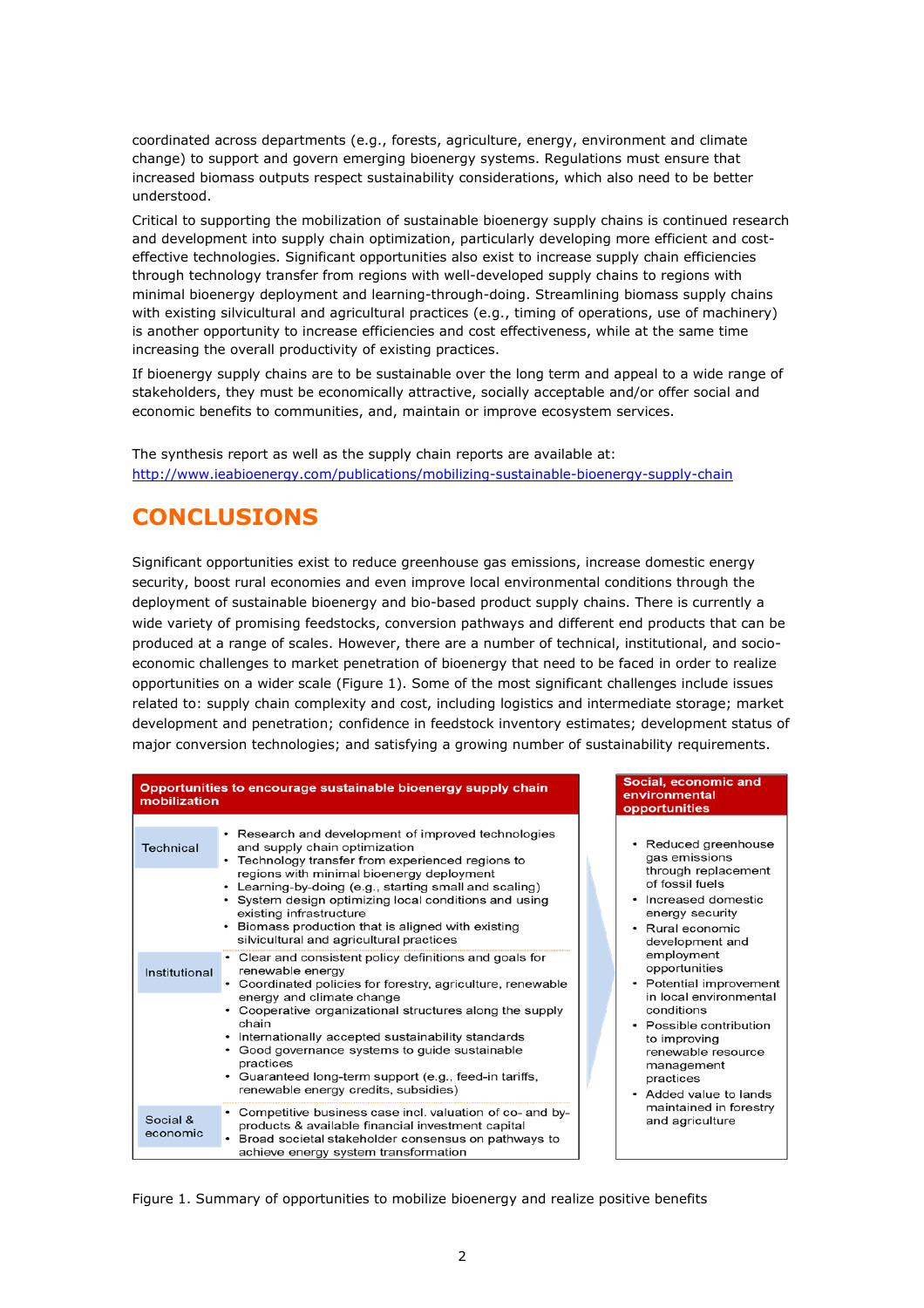coordinated across departments (e.g., forests, agriculture, energy, environment and climate change) to support and govern emerging bioenergy systems. Regulations must ensure that increased biomass outputs respect sustainability considerations, which also need to be better understood.

Critical to supporting the mobilization of sustainable bioenergy supply chains is continued research and development into supply chain optimization, particularly developing more efficient and costeffective technologies. Significant opportunities also exist to increase supply chain efficiencies through technology transfer from regions with well-developed supply chains to regions with minimal bioenergy deployment and learning-through-doing. Streamlining biomass supply chains with existing silvicultural and agricultural practices (e.g., timing of operations, use of machinery) is another opportunity to increase efficiencies and cost effectiveness, while at the same time increasing the overall productivity of existing practices.

If bioenergy supply chains are to be sustainable over the long term and appeal to a wide range of stakeholders, they must be economically attractive, socially acceptable and/or offer social and economic benefits to communities, and, maintain or improve ecosystem services.

The synthesis report as well as the supply chain reports are available at: <http://www.ieabioenergy.com/publications/mobilizing-sustainable-bioenergy-supply-chain>

## **CONCLUSIONS**

Significant opportunities exist to reduce greenhouse gas emissions, increase domestic energy security, boost rural economies and even improve local environmental conditions through the deployment of sustainable bioenergy and bio-based product supply chains. There is currently a wide variety of promising feedstocks, conversion pathways and different end products that can be produced at a range of scales. However, there are a number of technical, institutional, and socioeconomic challenges to market penetration of bioenergy that need to be faced in order to realize opportunities on a wider scale (Figure 1). Some of the most significant challenges include issues related to: supply chain complexity and cost, including logistics and intermediate storage; market development and penetration; confidence in feedstock inventory estimates; development status of major conversion technologies; and satisfying a growing number of sustainability requirements.

| mobilization         | Opportunities to encourage sustainable bioenergy supply chain                                                                                                                                                                                                                                                                                                                              |  |
|----------------------|--------------------------------------------------------------------------------------------------------------------------------------------------------------------------------------------------------------------------------------------------------------------------------------------------------------------------------------------------------------------------------------------|--|
| Technical            | • Research and development of improved technologies<br>and supply chain optimization<br>• Technology transfer from experienced regions to<br>regions with minimal bioenergy deployment<br>• Learning-by-doing (e.g., starting small and scaling)<br>• System design optimizing local conditions and using<br>existing infrastructure<br>• Biomass production that is aligned with existing |  |
| Institutional        | silvicultural and agricultural practices<br>• Clear and consistent policy definitions and goals for<br>renewable energy<br>• Coordinated policies for forestry, agriculture, renewable<br>energy and climate change                                                                                                                                                                        |  |
|                      | • Cooperative organizational structures along the supply<br>chain<br>• Internationally accepted sustainability standards<br>• Good governance systems to guide sustainable<br>practices<br>• Guaranteed long-term support (e.g., feed-in tariffs,<br>renewable energy credits, subsidies)                                                                                                  |  |
| Social &<br>economic | Competitive business case incl. valuation of co- and by-<br>products & available financial investment capital<br>• Broad societal stakeholder consensus on pathways to<br>achieve energy system transformation                                                                                                                                                                             |  |

#### Social, economic and environmental opportunities

- Reduced greenhouse gas emissions through replacement of fossil fuels
- Increased domestic energy security
- Rural economic development and employment opportunities
- Potential improvement in local environmental conditions
- Possible contribution to improving renewable resource management practices
- Added value to lands maintained in forestry and agriculture

Figure 1. Summary of opportunities to mobilize bioenergy and realize positive benefits